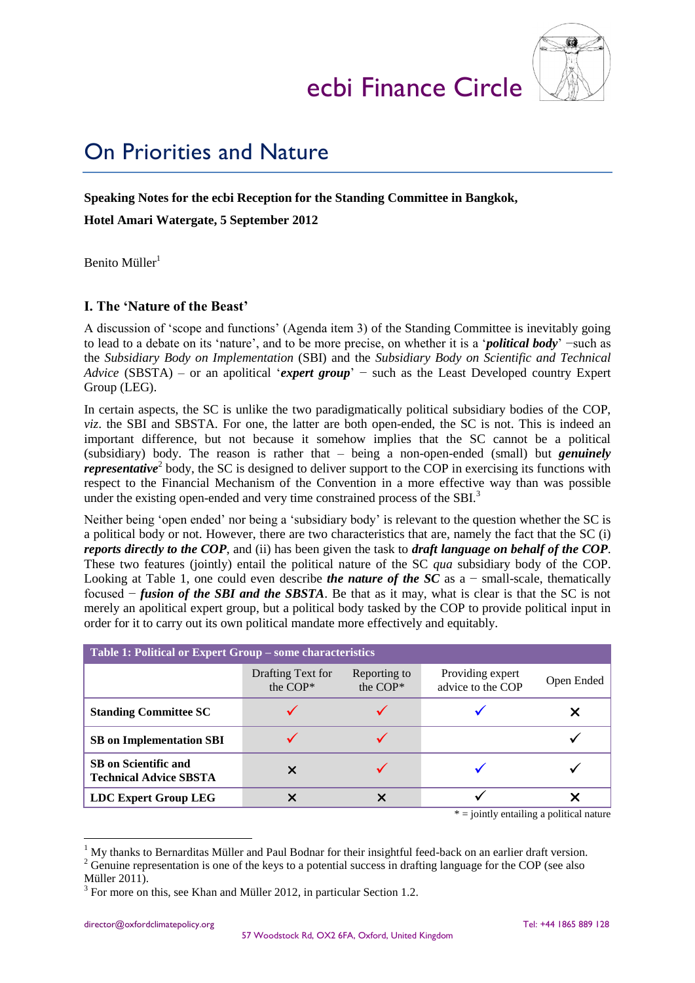# ecbi Finance Circle



# On Priorities and Nature

#### **Speaking Notes for the ecbi Reception for the Standing Committee in Bangkok,**

**Hotel Amari Watergate, 5 September 2012**

Benito Müller<sup>1</sup>

## **I. The 'Nature of the Beast'**

A discussion of 'scope and functions' (Agenda item 3) of the Standing Committee is inevitably going to lead to a debate on its 'nature', and to be more precise, on whether it is a '*political body*' −such as the *Subsidiary Body on Implementation* (SBI) and the *Subsidiary Body on Scientific and Technical Advice* (SBSTA) – or an apolitical '*expert group*' − such as the Least Developed country Expert Group (LEG).

In certain aspects, the SC is unlike the two paradigmatically political subsidiary bodies of the COP, *viz*. the SBI and SBSTA. For one, the latter are both open-ended, the SC is not. This is indeed an important difference, but not because it somehow implies that the SC cannot be a political (subsidiary) body. The reason is rather that – being a non-open-ended (small) but *genuinely representative*<sup>2</sup> body, the SC is designed to deliver support to the COP in exercising its functions with respect to the Financial Mechanism of the Convention in a more effective way than was possible under the existing open-ended and very time constrained process of the SBI.<sup>3</sup>

Neither being 'open ended' nor being a 'subsidiary body' is relevant to the question whether the SC is a political body or not. However, there are two characteristics that are, namely the fact that the SC (i) *reports directly to the COP*, and (ii) has been given the task to *draft language on behalf of the COP*. These two features (jointly) entail the political nature of the SC *qua* subsidiary body of the COP. Looking at Table 1, one could even describe *the nature of the SC* as a − small-scale, thematically focused − *fusion of the SBI and the SBSTA*. Be that as it may, what is clear is that the SC is not merely an apolitical expert group, but a political body tasked by the COP to provide political input in order for it to carry out its own political mandate more effectively and equitably.

| Table 1: Political or Expert Group – some characteristics    |                               |                          |                                       |            |
|--------------------------------------------------------------|-------------------------------|--------------------------|---------------------------------------|------------|
|                                                              | Drafting Text for<br>the COP* | Reporting to<br>the COP* | Providing expert<br>advice to the COP | Open Ended |
| <b>Standing Committee SC</b>                                 |                               |                          |                                       |            |
| <b>SB</b> on Implementation SBI                              |                               |                          |                                       |            |
| <b>SB</b> on Scientific and<br><b>Technical Advice SBSTA</b> |                               |                          |                                       |            |
| <b>LDC Expert Group LEG</b>                                  | X                             | X                        |                                       |            |
| $*$ = jointly entailing a political nature                   |                               |                          |                                       |            |

1

<sup>1</sup> My thanks to Bernarditas Müller and Paul Bodnar for their insightful feed-back on an earlier draft version.

<sup>&</sup>lt;sup>2</sup> Genuine representation is one of the keys to a potential success in drafting language for the COP (see also

Müller 2011).

 $3$  For more on this, see Khan and Müller 2012, in particular Section 1.2.